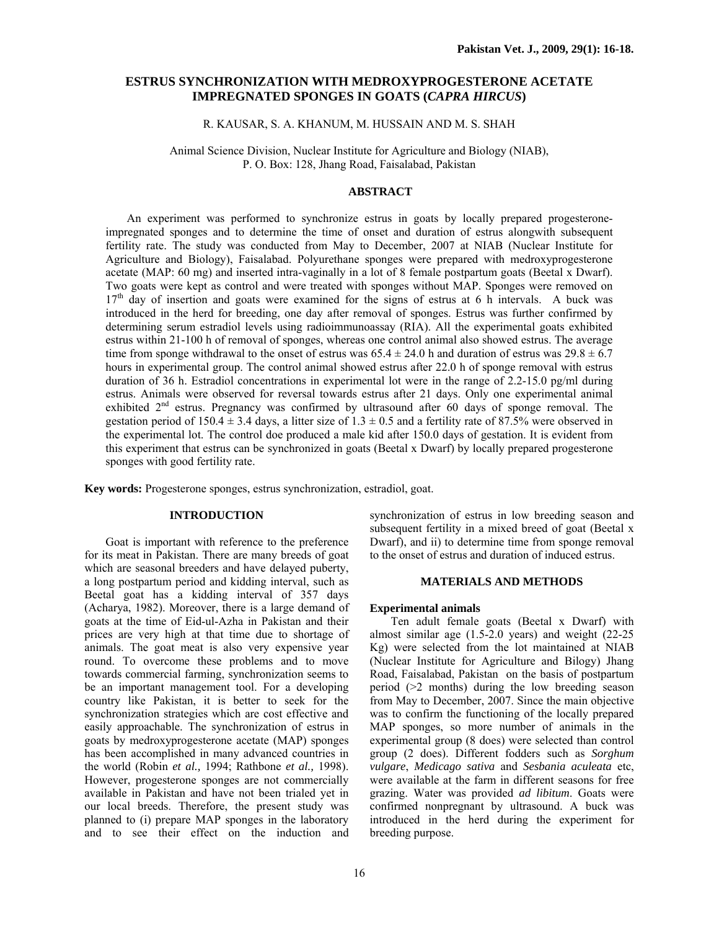# **ESTRUS SYNCHRONIZATION WITH MEDROXYPROGESTERONE ACETATE IMPREGNATED SPONGES IN GOATS (***CAPRA HIRCUS***)**

R. KAUSAR, S. A. KHANUM, M. HUSSAIN AND M. S. SHAH

Animal Science Division, Nuclear Institute for Agriculture and Biology (NIAB), P. O. Box: 128, Jhang Road, Faisalabad, Pakistan

## **ABSTRACT**

An experiment was performed to synchronize estrus in goats by locally prepared progesteroneimpregnated sponges and to determine the time of onset and duration of estrus alongwith subsequent fertility rate. The study was conducted from May to December, 2007 at NIAB (Nuclear Institute for Agriculture and Biology), Faisalabad. Polyurethane sponges were prepared with medroxyprogesterone acetate (MAP: 60 mg) and inserted intra-vaginally in a lot of 8 female postpartum goats (Beetal x Dwarf). Two goats were kept as control and were treated with sponges without MAP. Sponges were removed on 17<sup>th</sup> day of insertion and goats were examined for the signs of estrus at 6 h intervals. A buck was introduced in the herd for breeding, one day after removal of sponges. Estrus was further confirmed by determining serum estradiol levels using radioimmunoassay (RIA). All the experimental goats exhibited estrus within 21-100 h of removal of sponges, whereas one control animal also showed estrus. The average time from sponge withdrawal to the onset of estrus was  $65.4 \pm 24.0$  h and duration of estrus was  $29.8 \pm 6.7$ hours in experimental group. The control animal showed estrus after 22.0 h of sponge removal with estrus duration of 36 h. Estradiol concentrations in experimental lot were in the range of 2.2-15.0 pg/ml during estrus. Animals were observed for reversal towards estrus after 21 days. Only one experimental animal exhibited 2<sup>nd</sup> estrus. Pregnancy was confirmed by ultrasound after 60 days of sponge removal. The gestation period of 150.4  $\pm$  3.4 days, a litter size of 1.3  $\pm$  0.5 and a fertility rate of 87.5% were observed in the experimental lot. The control doe produced a male kid after 150.0 days of gestation. It is evident from this experiment that estrus can be synchronized in goats (Beetal x Dwarf) by locally prepared progesterone sponges with good fertility rate.

**Key words:** Progesterone sponges, estrus synchronization, estradiol, goat.

## **INTRODUCTION**

Goat is important with reference to the preference for its meat in Pakistan. There are many breeds of goat which are seasonal breeders and have delayed puberty, a long postpartum period and kidding interval, such as Beetal goat has a kidding interval of 357 days (Acharya, 1982). Moreover, there is a large demand of goats at the time of Eid-ul-Azha in Pakistan and their prices are very high at that time due to shortage of animals. The goat meat is also very expensive year round. To overcome these problems and to move towards commercial farming, synchronization seems to be an important management tool. For a developing country like Pakistan, it is better to seek for the synchronization strategies which are cost effective and easily approachable. The synchronization of estrus in goats by medroxyprogesterone acetate (MAP) sponges has been accomplished in many advanced countries in the world (Robin *et al.,* 1994; Rathbone *et al.,* 1998). However, progesterone sponges are not commercially available in Pakistan and have not been trialed yet in our local breeds. Therefore, the present study was planned to (i) prepare MAP sponges in the laboratory and to see their effect on the induction and

synchronization of estrus in low breeding season and subsequent fertility in a mixed breed of goat (Beetal x Dwarf), and ii) to determine time from sponge removal to the onset of estrus and duration of induced estrus.

# **MATERIALS AND METHODS**

## **Experimental animals**

Ten adult female goats (Beetal x Dwarf) with almost similar age (1.5-2.0 years) and weight (22-25 Kg) were selected from the lot maintained at NIAB (Nuclear Institute for Agriculture and Bilogy) Jhang Road, Faisalabad, Pakistan on the basis of postpartum period (>2 months) during the low breeding season from May to December, 2007. Since the main objective was to confirm the functioning of the locally prepared MAP sponges, so more number of animals in the experimental group (8 does) were selected than control group (2 does). Different fodders such as *Sorghum vulgare*, *Medicago sativa* and *Sesbania aculeata* etc, were available at the farm in different seasons for free grazing. Water was provided *ad libitum*. Goats were confirmed nonpregnant by ultrasound. A buck was introduced in the herd during the experiment for breeding purpose.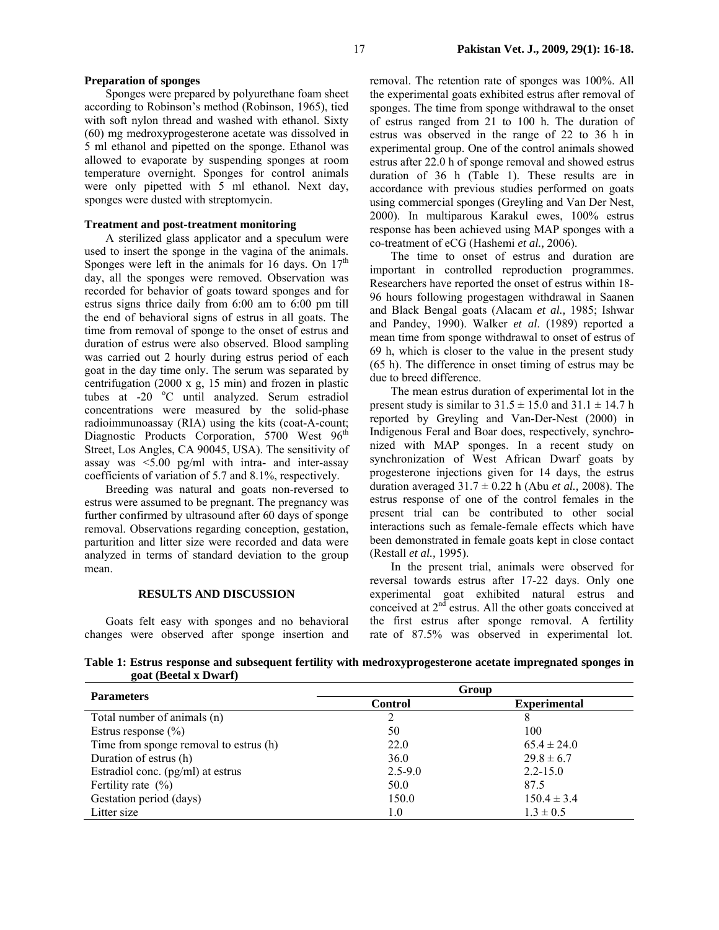#### **Preparation of sponges**

Sponges were prepared by polyurethane foam sheet according to Robinson's method (Robinson, 1965), tied with soft nylon thread and washed with ethanol. Sixty (60) mg medroxyprogesterone acetate was dissolved in 5 ml ethanol and pipetted on the sponge. Ethanol was allowed to evaporate by suspending sponges at room temperature overnight. Sponges for control animals were only pipetted with 5 ml ethanol. Next day, sponges were dusted with streptomycin.

# **Treatment and post-treatment monitoring**

A sterilized glass applicator and a speculum were used to insert the sponge in the vagina of the animals. Sponges were left in the animals for 16 days. On  $17<sup>th</sup>$ day, all the sponges were removed. Observation was recorded for behavior of goats toward sponges and for estrus signs thrice daily from 6:00 am to 6:00 pm till the end of behavioral signs of estrus in all goats. The time from removal of sponge to the onset of estrus and duration of estrus were also observed. Blood sampling was carried out 2 hourly during estrus period of each goat in the day time only. The serum was separated by centrifugation (2000 x g, 15 min) and frozen in plastic tubes at  $-20$  °C until analyzed. Serum estradiol concentrations were measured by the solid-phase radioimmunoassay (RIA) using the kits (coat-A-count; Diagnostic Products Corporation, 5700 West 96<sup>th</sup> Street, Los Angles, CA 90045, USA). The sensitivity of assay was <5.00 pg/ml with intra- and inter-assay coefficients of variation of 5.7 and 8.1%, respectively.

Breeding was natural and goats non-reversed to estrus were assumed to be pregnant. The pregnancy was further confirmed by ultrasound after 60 days of sponge removal. Observations regarding conception, gestation, parturition and litter size were recorded and data were analyzed in terms of standard deviation to the group mean.

## **RESULTS AND DISCUSSION**

Goats felt easy with sponges and no behavioral changes were observed after sponge insertion and removal. The retention rate of sponges was 100%. All the experimental goats exhibited estrus after removal of sponges. The time from sponge withdrawal to the onset of estrus ranged from 21 to 100 h. The duration of estrus was observed in the range of 22 to 36 h in experimental group. One of the control animals showed estrus after 22.0 h of sponge removal and showed estrus duration of 36 h (Table 1). These results are in accordance with previous studies performed on goats using commercial sponges (Greyling and Van Der Nest, 2000). In multiparous Karakul ewes, 100% estrus response has been achieved using MAP sponges with a co-treatment of eCG (Hashemi *et al.,* 2006).

The time to onset of estrus and duration are important in controlled reproduction programmes. Researchers have reported the onset of estrus within 18- 96 hours following progestagen withdrawal in Saanen and Black Bengal goats (Alacam *et al.,* 1985; Ishwar and Pandey, 1990). Walker *et al*. (1989) reported a mean time from sponge withdrawal to onset of estrus of 69 h, which is closer to the value in the present study (65 h). The difference in onset timing of estrus may be due to breed difference.

The mean estrus duration of experimental lot in the present study is similar to  $31.5 \pm 15.0$  and  $31.1 \pm 14.7$  h reported by Greyling and Van-Der-Nest (2000) in Indigenous Feral and Boar does, respectively, synchronized with MAP sponges. In a recent study on synchronization of West African Dwarf goats by progesterone injections given for 14 days, the estrus duration averaged 31.7 ± 0.22 h (Abu *et al.,* 2008). The estrus response of one of the control females in the present trial can be contributed to other social interactions such as female-female effects which have been demonstrated in female goats kept in close contact (Restall *et al.,* 1995).

In the present trial, animals were observed for reversal towards estrus after 17-22 days. Only one experimental goat exhibited natural estrus and conceived at  $2<sup>nd</sup>$  estrus. All the other goats conceived at the first estrus after sponge removal. A fertility rate of 87.5% was observed in experimental lot.

**Table 1: Estrus response and subsequent fertility with medroxyprogesterone acetate impregnated sponges in goat (Beetal x Dwarf)** 

| <b>Parameters</b>                      | Group       |                     |
|----------------------------------------|-------------|---------------------|
|                                        | Control     | <b>Experimental</b> |
| Total number of animals (n)            |             | 8                   |
| Estrus response $(\% )$                | 50          | 100                 |
| Time from sponge removal to estrus (h) | 22.0        | $65.4 \pm 24.0$     |
| Duration of estrus (h)                 | 36.0        | $29.8 \pm 6.7$      |
| Estradiol conc. (pg/ml) at estrus      | $2.5 - 9.0$ | $2.2 - 15.0$        |
| Fertility rate $(\% )$                 | 50.0        | 87.5                |
| Gestation period (days)                | 150.0       | $150.4 \pm 3.4$     |
| Litter size                            | 1.0         | $1.3 \pm 0.5$       |